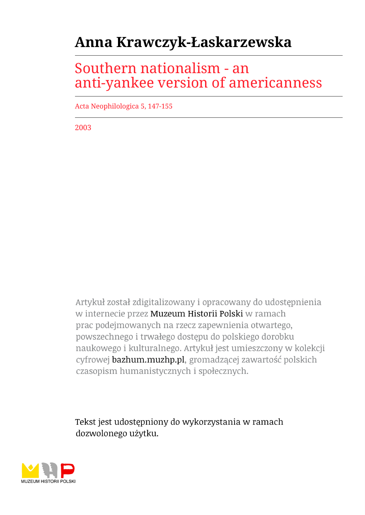## **Anna Krawczyk-Łaskarzewska**

## Southern nationalism - an anti-yankee version of americanness

Acta Neophilologica 5, 147-155

2003

Artykuł został zdigitalizowany i opracowany do udostępnienia w internecie przez Muzeum Historii Polski w ramach prac podejmowanych na rzecz zapewnienia otwartego, powszechnego i trwałego dostępu do polskiego dorobku naukowego i kulturalnego. Artykuł jest umieszczony w kolekcji cyfrowej bazhum.muzhp.pl, gromadzącej zawartość polskich czasopism humanistycznych i społecznych.

Tekst jest udostępniony do wykorzystania w ramach dozwolonego użytku.

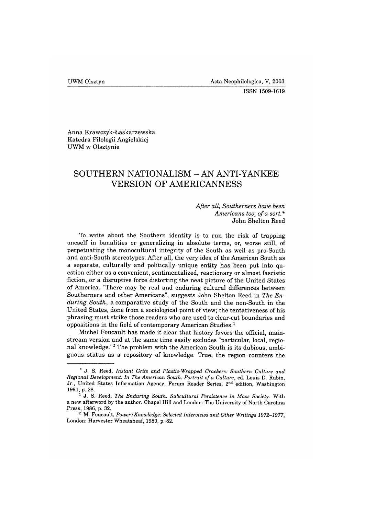**ISSN 1509-1619**

Anna Krawczyk-Łaskarzewska Katedra Filologii Angielskiej UWM w Olsztynie

## **SOUTHERN NATIONALISM - AN ANTI-YANKEE VERSION OF AMERICANNESS**

## *After all, Southerners have been Americans too, of a sort\** John Shelton Reed

To write about the Southern identity is to run the risk of trapping oneself in banalities or generalizing in absolute terms, or, worse still, of perpetuating the monocultural integrity of the South as well as pro-South and anti-South stereotypes. After all, the very idea of the American South as a separate, culturally and politically unique entity has been put into question either as a convenient, sentimentalized, reactionary or almost fascistic fiction, or a disruptive force distorting the neat picture of the United States of America. "There may be real and enduring cultural differences between Southerners and other Americans", suggests John Shelton Reed in *The Enduring South,* a comparative study of the South and the non-South in the United States, done from a sociological point of view; the tentativeness of his phrasing must strike those readers who are used to clear-cut boundaries and oppositions in the field of contemporary American Studies.<sup>1</sup>

Michel Foucault has made it clear that history favors the official, mainstream version and at the same time easily excludes "particular, local, regional knowledge."2 The problem with the American South is its dubious, ambiguous status as a repository of knowledge. True, the region counters the

<sup>&</sup>lt;sup>\*</sup> J. S. Reed, *Instant Grits and Plastic-Wrapped Crackers: Southern Culture and Regional Development. In The American South: Portrait of a Culture, ed. Louis D. Rubin,* **Jr., United States Information Agency, Forum Reader Series, 2nd edition, Washington 1991, p. 28.**

<sup>&</sup>lt;sup>1</sup> J. S. Reed, *The Enduring South. Subcultural Persistence in Mass Society. With* **a new afterword by the author. Chapel Hill and London: The University of North Carolina Press, 1986, p. 32.**

<sup>&</sup>lt;sup>2</sup> M. Foucault, *Power* / *Knowledge: Selected Interviews and Other Writings 1972–1977*, **London: Harvester Wheatsheaf, 1980, p. 82.**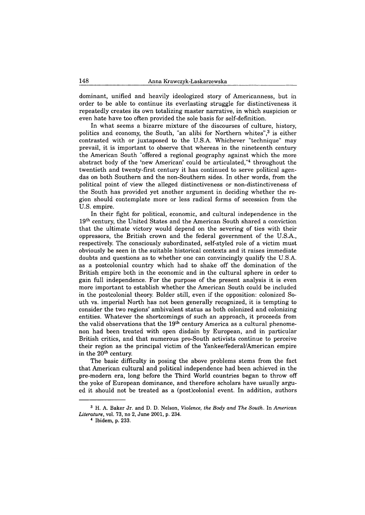dominant, unified and heavily ideologized story of Americanness, but in order to be able to continue its everlasting struggle for distinctiveness it repeatedly creates its own totalizing master narrative, in which suspicion or even hate have too often provided the sole basis for self-definition.

In what seems a bizarre mixture of the discourses of culture, history, politics and economy, the South, "an alibi for Northern whites", $3$  is either contrasted with or juxtaposed to the U.S.A. Whichever "technique" may prevail, it is important to observe that whereas in the nineteenth century the American South "offered a regional geography against which the more abstract body of the 'new American' could be articulated,"4 throughout the twentieth and twenty-first century it has continued to serve political agendas on both Southern and the non-Southern sides. In other words, from the political point of view the alleged distinctiveness or non-distinctiveness of the South has provided yet another argument in deciding whether the region should contemplate more or less radical forms of secession from the U.S. empire.

In their fight for political, economic, and cultural independence in the 19<sup>th</sup> century, the United States and the American South shared a conviction that the ultimate victory would depend on the severing of ties with their oppressors, the British crown and the federal government of the U.S.A., respectively. The consciously subordinated, self-styled role of a victim must obviously be seen in the suitable historical contexts and it raises immediate doubts and questions as to whether one can convincingly qualify the U.S.A. as a postcolonial country which had to shake off the domination of the British empire both in the economic and in the cultural sphere in order to gain full independence. For the purpose of the present analysis it is even more important to establish whether the American South could be included in the postcolonial theory. Bolder still, even if the opposition: colonized South vs. imperial North has not been generally recognized, it is tempting to consider the two regions' ambivalent status as both colonized and colonizing entities. Whatever the shortcomings of such an approach, it proceeds from the valid observations that the  $19<sup>th</sup>$  century America as a cultural phenomenon had been treated with open disdain by European, and in particular British critics, and that numerous pro-South activists continue to perceive their region as the principal victim of the Yankee/federal/American empire in the 20<sup>th</sup> century.

The basic difficulty in posing the above problems stems from the fact that American cultural and political independence had been achieved in the pre-modern era, long before the Third World countries began to throw off the yoke of European dominance, and therefore scholars have usually argued it should not be treated as a (post)colonial event. In addition, authors

**<sup>3</sup> H. A. Baker Jr. and D. D. Nelson,** *Violence, the Body and The South.* **In** *American Literature,* **vol. 73, no 2, June 2001, p. 234.**

**<sup>4</sup> Ibidem, p. 233.**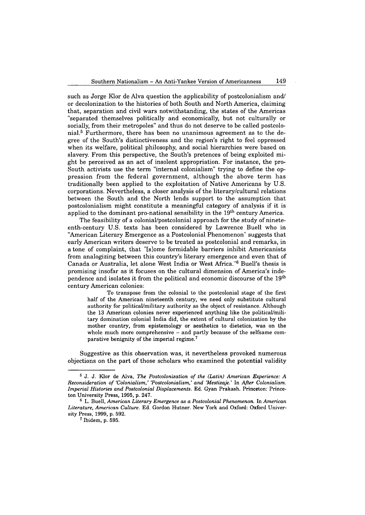such as Jorge Klor de Alva question the applicability of postcolonialism and/ or decolonization to the histories of both South and North America, claiming that, separation and civil wars notwithstanding, the states of the Americas "separated themselves politically and economically, but not culturally or socially, from their métropoles" and thus do not deserve to be called postcolonial.5 Furthermore, there has been no unanimous agreement as to the degree of the South's distinctiveness and the region's right to feel oppressed when its welfare, political philosophy, and social hierarchies were based on slavery. From this perspective, the South's pretences of being exploited might be perceived as an act of insolent appropriation. For instance, the pro-South activists use the term "internal colonialism" trying to define the oppression from the federal government, although the above term has traditionally been applied to the exploitation of Native Americans by U.S. corporations. Nevertheless, a closer analysis of the literary/cultural relations between the South and the North lends support to the assumption that postcolonialism might constitute a meaningful category of analysis if it is applied to the dominant pro-national sensibility in the  $19<sup>th</sup>$  century America.

The feasibility of a colonial/postcolonial approach for the study of nineteenth-century U.S. texts has been considered by Lawrence Buell who in "American Literary Emergence as a Postcolonial Phenomenon" suggests that early American writers deserve to be treated as postcolonial and remarks, in a tone of complaint, that "[s]ome formidable barriers inhibit Americanists from analogizing between this country's literary emergence and even that of Canada or Australia, let alone West India or West Africa."6 Buell's thesis is promising insofar as it focuses on the cultural dimension of America's independence and isolates it from the political and economic discourse of the 19<sup>th</sup> century American colonies:

**To transpose from the colonial to the postcolonial stage of the first half of the American nineteenth century, we need only substitute cultural authority for political/military authority as the object of resistance. Although the 13 American colonies never experienced anything like the political/military domination colonial India did, the extent of cultural colonization by the mother country, from epistemology or aesthetics to dietetics, was on the** whole much more comprehensive - and partly because of the selfsame com**parative benignity of the imperial regime.7**

Suggestive as this observation was, it nevertheless provoked numerous objections on the part of those scholars who examined the potential validity

<sup>&</sup>lt;sup>5</sup> J. J. Klor de Alva, *The Postcolonization of the (Latin) American Experience: A R e c o n s id e r a tio n o f 'C o lo n ia lis m ,' 'P o s tc o lo n ia lis m ,' a n d 'M e s tiz a je .'* **In** *A fte r C o lo n ia lis m . Imperial Histories and Postcolonial Displacements. Ed. Gyan Prakash. Princeton: Prince***ton University Press, 1995, p. 247.**

<sup>&</sup>lt;sup>6</sup> L. Buell, *American Literary Emergence as a Postcolonial Phenomenon. In American* Literature, American Culture. Ed. Gordon Hutner. New York and Oxford: Oxford Univer**sity Press, 1999, p. 592.**

**<sup>7</sup> Ibidem, p. 595.**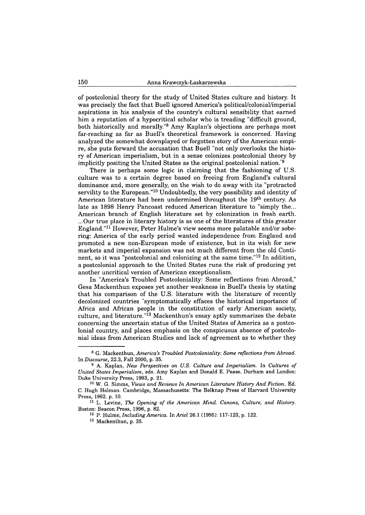of postcolonial theory for the study of United States culture and history. It was precisely the fact that Buell ignored America's political/colonial/imperial aspirations in his analysis of the country's cultural sensibility that earned him a reputation of a hypocritical scholar who is treading "difficult ground, both historically and morally."8 Amy Kaplan's objections are perhaps most far-reaching as far as Buell's theoretical framework is concerned. Having analyzed the somewhat downplayed or forgotten story of the American empire, she puts forward the accusation that Buell "not only overlooks the history of American imperialism, but in a sense colonizes postcolonial theory by implicitly positing the United States as the original postcolonial nation.<sup>"9</sup>

There is perhaps some logic in claiming that the fashioning of U.S. culture was to a certain degree based on freeing from England's cultural dominance and, more generally, on the wish to do away with its "protracted servility to the European."10 Undoubtedly, the very possibility and identity of American literature had been undermined throughout the 19<sup>th</sup> century. As late as 1898 Henry Pancoast reduced American literature to "simply the... American branch of English literature set by colonization in fresh earth. ...Our true place in literary history is as one of the literatures of this greater England."11 However, Peter Hulme's view seems more palatable and/or sobering: America of the early period wanted independence from England and promoted a new non-European mode of existence, but in its wish for new markets and imperial expansion was not much different from the old Continent, so it was "postcolonial and colonizing at the same time."12 In addition, a postcolonial approach to the United States runs the risk of producing yet another uncritical version of American exceptionalism.

In "America's Troubled Postcoloniality: Some reflections from Abroad," Gesa Mackenthun exposes yet another weakness in Buell's thesis by stating that his comparison of the U.S. literature with the literature of recently decolonized countries "symptomatically effaces the historical importance of Africa and African people in the constitution of early American society, culture, and literature."<sup>13</sup> Mackenthun's essay aptly summarizes the debate concerning the uncertain status of the United States of America as a postcolonial country, and places emphasis on the conspicuous absence of postcolonial ideas from American Studies and lack of agreement as to whether they

12 P. Hulme, *Including America*. In Ariel 26.1 (1995): 117-123, p. 122.

<sup>&</sup>lt;sup>8</sup> G. Mackenthun, *America's Troubled Postcoloniality: Some reflections from Abroad. In D isc o u r se ,* **22.3, Fall 2000, p. 35.**

<sup>&</sup>lt;sup>9</sup> A. Kaplan, *New Perspectives on U.S. Culture and Imperialism. In Cultures of United States Imperialism, eds. Amy Kaplan and Donald E. Pease. Durham and London:* **Duke University Press, 1993, p. 21.**

**<sup>10</sup> W. G. Simms,** *V ie w s a n d R e v ie w s In A m e r ic a n L ite r a tu r e H is to r y A n d F ic tio n .* **Ed. C. Hugh Holman. Cambridge, Massachusetts: The Belknap Press of Harvard University Press, 1962. p. 10.**

<sup>&</sup>lt;sup>11</sup> L. Levine, *The Opening of the American Mind. Canons, Culture, and History.* **Boston: Beacon Press, 1996, p. 82.**

**<sup>13</sup> Mackenthun, p. 35.**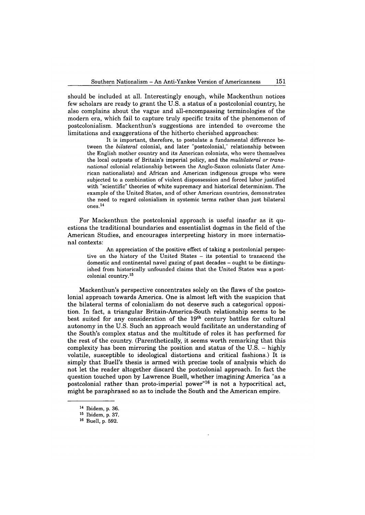should be included at all. Interestingly enough, while Mackenthun notices few scholars are ready to grant the U.S. a status of a postcolonial country, he also complains about the vague and all-encompassing terminologies of the modern era, which fail to capture truly specific traits of the phenomenon of postcolonialism. Mackenthun's suggestions are intended to overcome the limitations and exaggerations of the hitherto cherished approaches:

**It is important, therefore, to postulate a fundamental difference between the** *bilateral* **colonial, and later "postcolonial," relationship between the English mother country and its American colonists, who were themselves the local outposts of Britain's imperial policy, and the** *multilateral or transnational* **colonial relationship between the Anglo-Saxon colonists (later American nationalists) and African and American indigenous groups who were subjected to a combination of violent dispossession and forced labor justified with "scientific" theories of white supremacy and historical determinism. The example of the United States, and of other American countries, demonstrates the need to regard colonialism in systemic terms rather than just bilateral ones.14**

For Mackenthun the postcolonial approach is useful insofar as it questions the traditional boundaries and essentialist dogmas in the field of the American Studies, and encourages interpreting history in more international contexts:

**An appreciation of the positive effect of taking a postcolonial perspective on the history of the United States - its potential to transcend the domestic and continental navel gazing of past decades - ought to be distinguished from historically unfounded claims that the United States was a postcolonial country.15**

Mackenthun's perspective concentrates solely on the flaws of the postcolonial approach towards America. One is almost left with the suspicion that the bilateral terms of colonialism do not deserve such a categorical opposition. In fact, a triangular Britain-America-South relationship seems to be best suited for any consideration of the 19<sup>th</sup> century battles for cultural autonomy in the U.S. Such an approach would facilitate an understanding of the South's complex status and the multitude of roles it has performed for the rest of the country. (Parenthetically, it seems worth remarking that this complexity has been mirroring the position and status of the U.S.  $-$  highly volatile, susceptible to ideological distortions and critical fashions.) It is simply that Buell's thesis is armed with precise tools of analysis which do not let the reader altogether discard the postcolonial approach. In fact the question touched upon by Lawrence Buell, whether imagining America "as a postcolonial rather than proto-imperial power"16 is not a hypocritical act, might be paraphrased so as to include the South and the American empire.

**<sup>14</sup> Ibidem, p. 36.**

**<sup>15</sup> Ibidem, p. 37.**

**<sup>16</sup> Buell, p. 592.**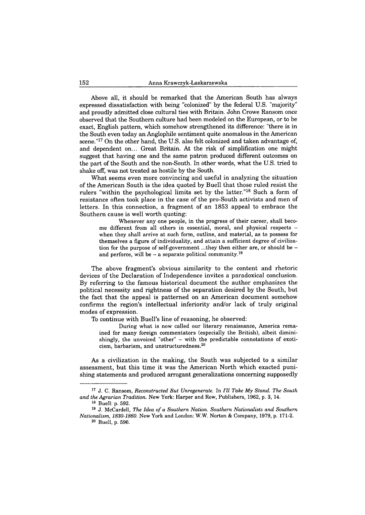Above all, it should be remarked that the American South has always expressed dissatisfaction with being "colonized" by the federal U.S. "majority" and proudly admitted close cultural ties with Britain. John Crowe Ransom once observed that the Southern culture had been modeled on the European, or to be exact, English pattern, which somehow strengthened its difference: "there is in the South even today an Anglophile sentiment quite anomalous in the American scene."<sup>17</sup> On the other hand, the U.S. also felt colonized and taken advantage of, and dependent on... Great Britain. At the risk of simplification one might suggest that having one and the same patron produced different outcomes on the part of the South and the non-South. In other words, what the U.S. tried to shake off, was not treated as hostile by the South.

What seems even more convincing and useful in analyzing the situation of the American South is the idea quoted by Buell that those ruled resist the rulers "within the psychological limits set by the latter."18 Such a form of resistance often took place in the case of the pro-South activists and men of letters. In this connection, a fragment of an 1853 appeal to embrace the Southern cause is well worth quoting:

**Whenever any one people, in the progress of their career, shall become different from all others in essential, moral, and physical respects when they shall arrive at such form, outline, and material, as to possess for themselves a figure of individuality, and attain a sufficient degree of civilization for the purpose of self-government ...they then either are, or should be and perforce, will be - a separate political community.19**

The above fragment's obvious similarity to the content and rhetoric devices of the Declaration of Independence invites a paradoxical conclusion. By referring to the famous historical document the author emphasizes the political necessity and rightness of the separation desired by the South, but the fact that the appeal is patterned on an American document somehow confirms the region's intellectual inferiority and/or lack of truly original modes of expression.

To continue with Buell's line of reasoning, he observed:

**During what is now called our literary renaissance, America remained for many foreign commentators (especially the British), albeit dimini**shingly, the unvoiced "other" - with the predictable connotations of exoti**cism, barbarism, and unstructuredness.20**

As a civilization in the making, the South was subjected to a similar assessment, but this time it was the American North which exacted punishing statements and produced arrogant generalizations concerning supposedly

<sup>&</sup>lt;sup>17</sup> J. C. Ransom, *Reconstructed But Unregenerate*. In *I'll Take My Stand. The South* and the Agrarian Tradition. New York: Harper and Row, Publishers, 1962, p. 3, 14.

**<sup>18</sup> Buell: p. 592.**

<sup>&</sup>lt;sup>19</sup> J. McCardell, *The Idea of a Southern Nation. Southern Nationalists and Southern N a tio n a lis m , 1 8 3 0 -1 8 6 0 .* **New York and London: W.W. Norton & Company, 1979, p. 171-2.**

**<sup>20</sup> Buell, p. 596.**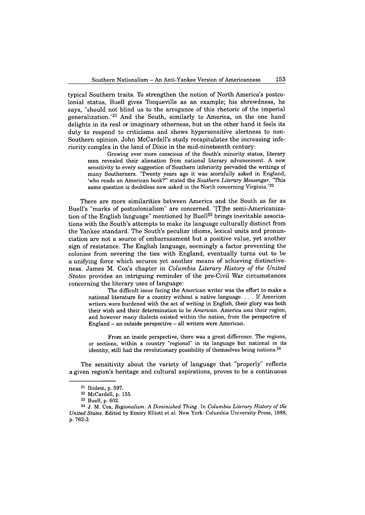typical Southern traits. To strengthen the notion of North America's postcolonial status, Buell gives Tocqueville as an example; his shrewdness, he says, "should not blind us to the arrogance of this rhetoric of the imperial generalization."21 And the South, similarly to America, on the one hand delights in its real or imaginary otherness, but on the other hand it feels its duty to respond to criticisms and shows hypersensitive alertness to non-Southern opinion. John McCardell's study recapitulates the increasing inferiority complex in the land of Dixie in the mid-nineteenth century:

**Growing ever more conscious of the South's minority status, literary men revealed their alienation from national literary advancement. A new sensitivity to every suggestion of Southern inferiority pervaded the writings of many Southerners. "Twenty years ago it was scornfully asked in England,** 'who reads an American book?" stated the *Southern Literary Messenger*. "This **same question is doubtless now asked in the North concerning Virginia."22**

There are more similarities between America and the South as far as Buell's "marks of postcolonialism" are concerned. "[T]he semi-Americanization of the English language" mentioned by Buell<sup>23</sup> brings inevitable associations with the South's attempts to make its language culturally distinct from the Yankee standard. The South's peculiar idioms, lexical units and pronunciation are not a source of embarrassment but a positive value, yet another sign of resistance. The English language, seemingly a factor preventing the colonies from severing the ties with England, eventually turns out to be a unifying force which secures yet another means of achieving distinctiveness. James M. Cox's chapter in *Columbia Literary History of the United States* provides an intriguing reminder of the pre-Civil War circumstances concerning the literary uses of language:

**The difficult issue facing the American writer was the effort to make a national literature for a country without a native language. . . . If American writers were burdened with the act of writing in English, their glory was both their wish and their determination to be** *A m e r ic a n .* **America** *w a s* **their region, and however many dialects existed within the nation, from the perspective of England - an outside perspective - all writers were American.**

**From an inside perspective, there was a great difference. The regions, or sections, within a country "regional" in its language but national in its identity, still had the revolutionary possibility of themselves being nations.24**

The sensitivity about the variety of language that "properly" reflects a given region's heritage and cultural aspirations, proves to be a continuous

**<sup>21</sup> Ibidem, p. 597.**

**<sup>22</sup> McCardell, p. 155.**

**<sup>23</sup> Buell, p. 602.**

<sup>&</sup>lt;sup>24</sup> J. M. Cox, *Regionalism: A Diminished Thing. In Columbia Literary History of the U n ite d S ta te s .* **Edited by Emory Elliott et al. New York: Columbia University Press, 1988, p. 762-3.**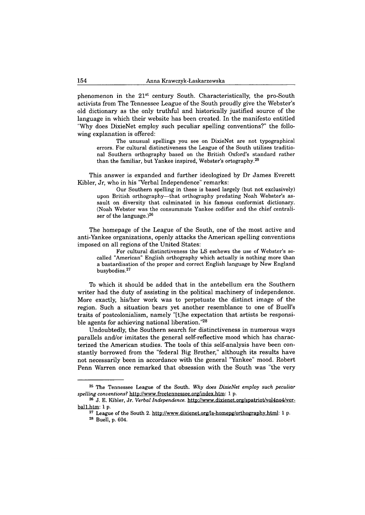phenomenon in the  $21^{st}$  century South. Characteristically, the pro-South activists from The Tennessee League of the South proudly give the Webster's old dictionary as the only truthful and historically justified source of the language in which their website has been created. In the manifesto entitled "Why does DixieNet employ such peculiar spelling conventions?" the following explanation is offered:

**The unusual spellings you see on DixieNet are not typographical errors. For cultural distinctiveness the League of the South utilises traditional Southern orthography based on the British Oxford's standard rather than the familiar, but Yankee inspired, Webster's ortography.25**

This answer is expanded and further ideologized by Dr James Everett Kibler, Jr, who in his "Verbal Independence" remarks:

**Our Southern spelling in these is based largely (but not exclusively) upon British orthography—that orthography predating Noah Webster's assault on diversity that culminated in his famous conformist dictionary. (Noah Webster was the consummate Yankee codifier and the chief centraliser of the language.)26**

The homepage of the League of the South, one of the most active and anti-Yankee organizations, openly attacks the American spelling conventions imposed on all regions of the United States:

**For cultural distinctiveness the LS eschews the use of Webster's socalled "American" English orthography which actually is nothing more than a bastardisation of the proper and correct English language by New England busybodies.27**

To which it should be added that in the antebellum era the Southern writer had the duty of assisting in the political machinery of independence. More exactly, his/her work was to perpetuate the distinct image of the region. Such a situation bears yet another resemblance to one of Buell's traits of postcolonialism, namely "[t]he expectation that artists be responsible agents for achieving national liberation."28

Undoubtedly, the Southern search for distinctiveness in numerous ways parallels and/or imitates the general self-reflective mood which has characterized the American studies. The tools of this self-analysis have been constantly borrowed from the "federal Big Brother," although its results have not necessarily been in accordance with the general "Yankee" mood. Robert Penn Warren once remarked that obsession with the South was "the very

**<sup>25</sup> The Tennessee League of the South.** *Why does DixieNet employ such peculiar spelling conventions?* **http:/[/www.freetennessee.org/index.htm:](http://www.freetennessee.org/index.htm) 1 p.**

**<sup>26</sup> J. E. Kibler, Jr.** *Verbal Independence,* **[http://www.dixienet.org/spatriot/vol4no4/ver](http://www.dixienet.org/spatriot/vol4no4/ver-ball.htm)[ball.htm](http://www.dixienet.org/spatriot/vol4no4/ver-ball.htm): 1 p.**

**<sup>27</sup> League of the South 2. <http://www.dixienet.org/ls-homepg/orthographv.html>: 1 p. 28 Buell, p. 604.**